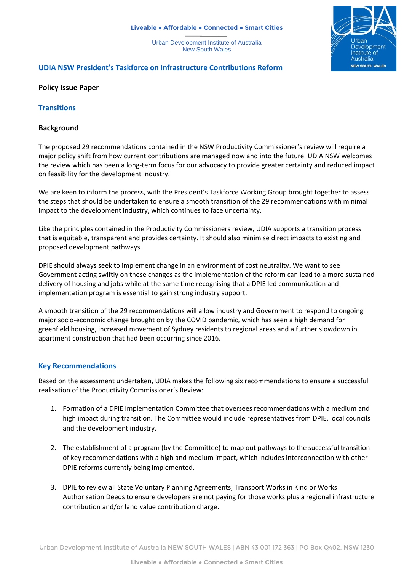#### **Liveable ● Affordable ● Connected ● Smart Cities**

Urban Development Institute of Australia New South Wales



# **UDIA NSW President's Taskforce on Infrastructure Contributions Reform**

### **Policy Issue Paper**

## **Transitions**

## **Background**

The proposed 29 recommendations contained in the NSW Productivity Commissioner's review will require a major policy shift from how current contributions are managed now and into the future. UDIA NSW welcomes the review which has been a long-term focus for our advocacy to provide greater certainty and reduced impact on feasibility for the development industry.

We are keen to inform the process, with the President's Taskforce Working Group brought together to assess the steps that should be undertaken to ensure a smooth transition of the 29 recommendations with minimal impact to the development industry, which continues to face uncertainty.

Like the principles contained in the Productivity Commissioners review, UDIA supports a transition process that is equitable, transparent and provides certainty. It should also minimise direct impacts to existing and proposed development pathways.

DPIE should always seek to implement change in an environment of cost neutrality. We want to see Government acting swiftly on these changes as the implementation of the reform can lead to a more sustained delivery of housing and jobs while at the same time recognising that a DPIE led communication and implementation program is essential to gain strong industry support.

A smooth transition of the 29 recommendations will allow industry and Government to respond to ongoing major socio-economic change brought on by the COVID pandemic, which has seen a high demand for greenfield housing, increased movement of Sydney residents to regional areas and a further slowdown in apartment construction that had been occurring since 2016.

## **Key Recommendations**

Based on the assessment undertaken, UDIA makes the following six recommendations to ensure a successful realisation of the Productivity Commissioner's Review:

- 1. Formation of a DPIE Implementation Committee that oversees recommendations with a medium and high impact during transition. The Committee would include representatives from DPIE, local councils and the development industry.
- 2. The establishment of a program (by the Committee) to map out pathways to the successful transition of key recommendations with a high and medium impact, which includes interconnection with other DPIE reforms currently being implemented.
- 3. DPIE to review all State Voluntary Planning Agreements, Transport Works in Kind or Works Authorisation Deeds to ensure developers are not paying for those works plus a regional infrastructure contribution and/or land value contribution charge.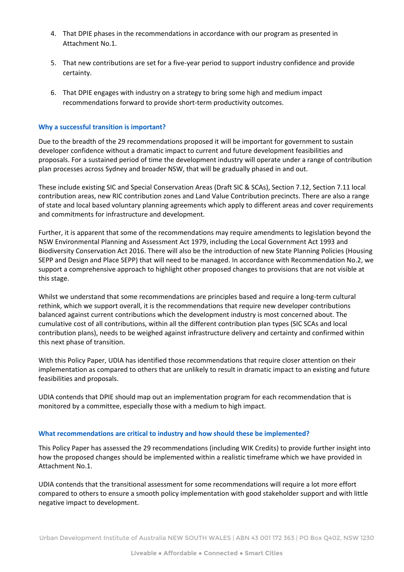- 4. That DPIE phases in the recommendations in accordance with our program as presented in Attachment No.1.
- 5. That new contributions are set for a five-year period to support industry confidence and provide certainty.
- 6. That DPIE engages with industry on a strategy to bring some high and medium impact recommendations forward to provide short-term productivity outcomes.

### **Why a successful transition is important?**

Due to the breadth of the 29 recommendations proposed it will be important for government to sustain developer confidence without a dramatic impact to current and future development feasibilities and proposals. For a sustained period of time the development industry will operate under a range of contribution plan processes across Sydney and broader NSW, that will be gradually phased in and out.

These include existing SIC and Special Conservation Areas (Draft SIC & SCAs), Section 7.12, Section 7.11 local contribution areas, new RIC contribution zones and Land Value Contribution precincts. There are also a range of state and local based voluntary planning agreements which apply to different areas and cover requirements and commitments for infrastructure and development.

Further, it is apparent that some of the recommendations may require amendments to legislation beyond the NSW Environmental Planning and Assessment Act 1979, including the Local Government Act 1993 and Biodiversity Conservation Act 2016. There will also be the introduction of new State Planning Policies (Housing SEPP and Design and Place SEPP) that will need to be managed. In accordance with Recommendation No.2, we support a comprehensive approach to highlight other proposed changes to provisions that are not visible at this stage.

Whilst we understand that some recommendations are principles based and require a long-term cultural rethink, which we support overall, it is the recommendations that require new developer contributions balanced against current contributions which the development industry is most concerned about. The cumulative cost of all contributions, within all the different contribution plan types (SIC SCAs and local contribution plans), needs to be weighed against infrastructure delivery and certainty and confirmed within this next phase of transition.

With this Policy Paper, UDIA has identified those recommendations that require closer attention on their implementation as compared to others that are unlikely to result in dramatic impact to an existing and future feasibilities and proposals.

UDIA contends that DPIE should map out an implementation program for each recommendation that is monitored by a committee, especially those with a medium to high impact.

### **What recommendations are critical to industry and how should these be implemented?**

This Policy Paper has assessed the 29 recommendations (including WIK Credits) to provide further insight into how the proposed changes should be implemented within a realistic timeframe which we have provided in Attachment No.1.

UDIA contends that the transitional assessment for some recommendations will require a lot more effort compared to others to ensure a smooth policy implementation with good stakeholder support and with little negative impact to development.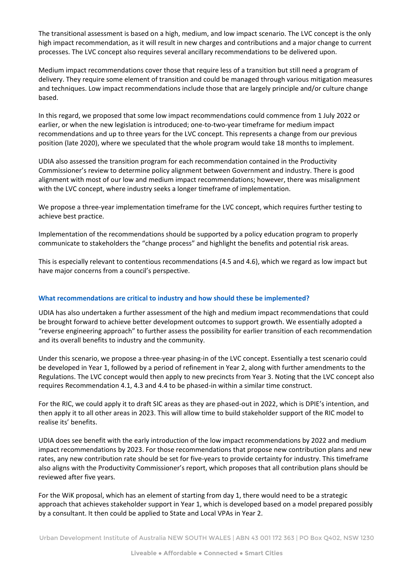The transitional assessment is based on a high, medium, and low impact scenario. The LVC concept is the only high impact recommendation, as it will result in new charges and contributions and a major change to current processes. The LVC concept also requires several ancillary recommendations to be delivered upon.

Medium impact recommendations cover those that require less of a transition but still need a program of delivery. They require some element of transition and could be managed through various mitigation measures and techniques. Low impact recommendations include those that are largely principle and/or culture change based.

In this regard, we proposed that some low impact recommendations could commence from 1 July 2022 or earlier, or when the new legislation is introduced; one-to-two-year timeframe for medium impact recommendations and up to three years for the LVC concept. This represents a change from our previous position (late 2020), where we speculated that the whole program would take 18 months to implement.

UDIA also assessed the transition program for each recommendation contained in the Productivity Commissioner's review to determine policy alignment between Government and industry. There is good alignment with most of our low and medium impact recommendations; however, there was misalignment with the LVC concept, where industry seeks a longer timeframe of implementation.

We propose a three-year implementation timeframe for the LVC concept, which requires further testing to achieve best practice.

Implementation of the recommendations should be supported by a policy education program to properly communicate to stakeholders the "change process" and highlight the benefits and potential risk areas.

This is especially relevant to contentious recommendations (4.5 and 4.6), which we regard as low impact but have major concerns from a council's perspective.

### **What recommendations are critical to industry and how should these be implemented?**

UDIA has also undertaken a further assessment of the high and medium impact recommendations that could be brought forward to achieve better development outcomes to support growth. We essentially adopted a "reverse engineering approach" to further assess the possibility for earlier transition of each recommendation and its overall benefits to industry and the community.

Under this scenario, we propose a three-year phasing-in of the LVC concept. Essentially a test scenario could be developed in Year 1, followed by a period of refinement in Year 2, along with further amendments to the Regulations. The LVC concept would then apply to new precincts from Year 3. Noting that the LVC concept also requires Recommendation 4.1, 4.3 and 4.4 to be phased-in within a similar time construct.

For the RIC, we could apply it to draft SIC areas as they are phased-out in 2022, which is DPIE's intention, and then apply it to all other areas in 2023. This will allow time to build stakeholder support of the RIC model to realise its' benefits.

UDIA does see benefit with the early introduction of the low impact recommendations by 2022 and medium impact recommendations by 2023. For those recommendations that propose new contribution plans and new rates, any new contribution rate should be set for five-years to provide certainty for industry. This timeframe also aligns with the Productivity Commissioner's report, which proposes that all contribution plans should be reviewed after five years.

For the WiK proposal, which has an element of starting from day 1, there would need to be a strategic approach that achieves stakeholder support in Year 1, which is developed based on a model prepared possibly by a consultant. It then could be applied to State and Local VPAs in Year 2.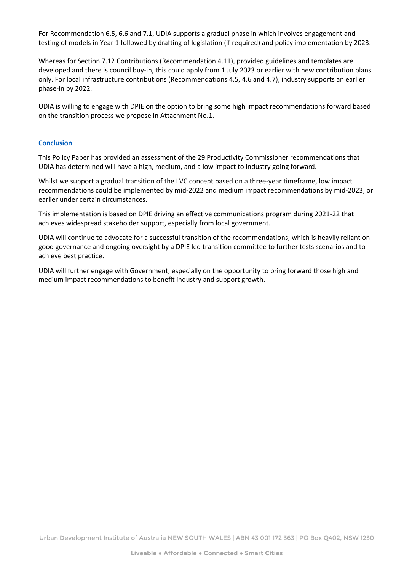For Recommendation 6.5, 6.6 and 7.1, UDIA supports a gradual phase in which involves engagement and testing of models in Year 1 followed by drafting of legislation (if required) and policy implementation by 2023.

Whereas for Section 7.12 Contributions (Recommendation 4.11), provided guidelines and templates are developed and there is council buy-in, this could apply from 1 July 2023 or earlier with new contribution plans only. For local infrastructure contributions (Recommendations 4.5, 4.6 and 4.7), industry supports an earlier phase-in by 2022.

UDIA is willing to engage with DPIE on the option to bring some high impact recommendations forward based on the transition process we propose in Attachment No.1.

#### **Conclusion**

This Policy Paper has provided an assessment of the 29 Productivity Commissioner recommendations that UDIA has determined will have a high, medium, and a low impact to industry going forward.

Whilst we support a gradual transition of the LVC concept based on a three-year timeframe, low impact recommendations could be implemented by mid-2022 and medium impact recommendations by mid-2023, or earlier under certain circumstances.

This implementation is based on DPIE driving an effective communications program during 2021-22 that achieves widespread stakeholder support, especially from local government.

UDIA will continue to advocate for a successful transition of the recommendations, which is heavily reliant on good governance and ongoing oversight by a DPIE led transition committee to further tests scenarios and to achieve best practice.

UDIA will further engage with Government, especially on the opportunity to bring forward those high and medium impact recommendations to benefit industry and support growth.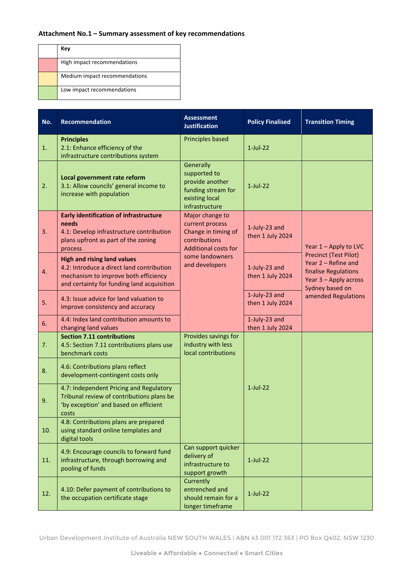### **Attachment No.1 – Summary assessment of key recommendations**

| Kev                           |
|-------------------------------|
| High impact recommendations   |
| Medium impact recommendations |
| Low impact recommendations    |

| No. | Recommendation                                                                                                                                                        | <b>Assessment</b><br><b>Justification</b>                                                                                                      | <b>Policy Finalised</b>           | <b>Transition Timing</b>                                                                                                                       |
|-----|-----------------------------------------------------------------------------------------------------------------------------------------------------------------------|------------------------------------------------------------------------------------------------------------------------------------------------|-----------------------------------|------------------------------------------------------------------------------------------------------------------------------------------------|
| 1.  | <b>Principles</b><br>2.1: Enhance efficiency of the<br>infrastructure contributions system                                                                            | Principles based                                                                                                                               | $1$ -Jul-22                       |                                                                                                                                                |
| 2.  | Local government rate reform<br>3.1: Allow councils' general income to<br>increase with population                                                                    | Generally<br>supported to<br>provide another<br>funding stream for<br>existing local<br>infrastructure                                         | $1$ -Jul-22                       |                                                                                                                                                |
| 3.  | <b>Early identification of infrastructure</b><br>needs<br>4.1: Develop infrastructure contribution<br>plans upfront as part of the zoning<br>process                  | Major change to<br>current process<br>Change in timing of<br>contributions<br><b>Additional costs for</b><br>some landowners<br>and developers | 1-July-23 and<br>then 1 July 2024 | Year 1 - Apply to LVC                                                                                                                          |
| 4.  | <b>High and rising land values</b><br>4.2: Introduce a direct land contribution<br>mechanism to improve both efficiency<br>and certainty for funding land acquisition |                                                                                                                                                | 1-July-23 and<br>then 1 July 2024 | <b>Precinct (Test Pilot)</b><br>Year 2 - Refine and<br>finalise Regulations<br>Year 3 - Apply across<br>Sydney based on<br>amended Regulations |
| 5.  | 4.3: Issue advice for land valuation to<br>improve consistency and accuracy                                                                                           |                                                                                                                                                | 1-July-23 and<br>then 1 July 2024 |                                                                                                                                                |
| 6.  | 4.4: Index land contribution amounts to<br>changing land values                                                                                                       |                                                                                                                                                | 1-July-23 and<br>then 1 July 2024 |                                                                                                                                                |
| 7.  | <b>Section 7.11 contributions</b><br>4.5: Section 7.11 contributions plans use<br>benchmark costs                                                                     | Provides savings for<br>industry with less<br>local contributions                                                                              |                                   |                                                                                                                                                |
| 8.  | 4.6: Contributions plans reflect<br>development-contingent costs only                                                                                                 |                                                                                                                                                |                                   |                                                                                                                                                |
| 9.  | 4.7: Independent Pricing and Regulatory<br>Tribunal review of contributions plans be<br>'by exception' and based on efficient<br>costs                                |                                                                                                                                                | $1$ -Jul-22                       |                                                                                                                                                |
| 10. | 4.8: Contributions plans are prepared<br>using standard online templates and<br>digital tools                                                                         |                                                                                                                                                |                                   |                                                                                                                                                |
| 11. | 4.9: Encourage councils to forward fund<br>infrastructure, through borrowing and<br>pooling of funds                                                                  | Can support quicker<br>delivery of<br>infrastructure to<br>support growth                                                                      | $1-Jul-22$                        |                                                                                                                                                |
| 12. | 4.10: Defer payment of contributions to<br>the occupation certificate stage                                                                                           | Currently<br>entrenched and<br>should remain for a<br>longer timeframe                                                                         | $1$ -Jul-22                       |                                                                                                                                                |

Urban Development Institute of Australia NEW SOUTH WALES | ABN 43 001 172 363 | PO Box Q402, NSW 1230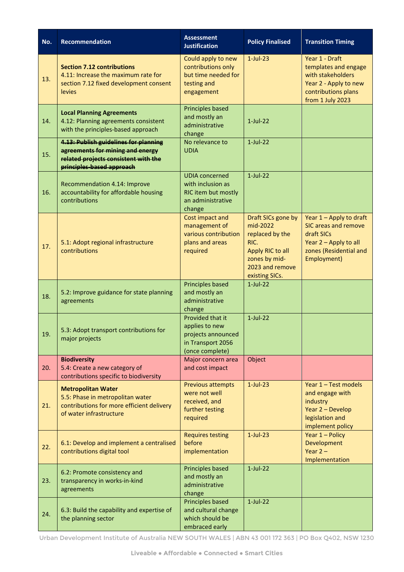| No. | <b>Recommendation</b>                                                                                                                          | <b>Assessment</b><br><b>Justification</b>                                                        | <b>Policy Finalised</b>                                                                                                             | <b>Transition Timing</b>                                                                                                        |
|-----|------------------------------------------------------------------------------------------------------------------------------------------------|--------------------------------------------------------------------------------------------------|-------------------------------------------------------------------------------------------------------------------------------------|---------------------------------------------------------------------------------------------------------------------------------|
| 13. | <b>Section 7.12 contributions</b><br>4.11: Increase the maximum rate for<br>section 7.12 fixed development consent<br>levies                   | Could apply to new<br>contributions only<br>but time needed for<br>testing and<br>engagement     | $1$ -Jul-23                                                                                                                         | Year 1 - Draft<br>templates and engage<br>with stakeholders<br>Year 2 - Apply to new<br>contributions plans<br>from 1 July 2023 |
| 14. | <b>Local Planning Agreements</b><br>4.12: Planning agreements consistent<br>with the principles-based approach                                 | Principles based<br>and mostly an<br>administrative<br>change                                    | $1$ -Jul-22                                                                                                                         |                                                                                                                                 |
| 15. | 4.13: Publish guidelines for planning<br>agreements for mining and energy<br>related projects consistent with the<br>principles-based approach | No relevance to<br><b>UDIA</b>                                                                   | $1$ -Jul-22                                                                                                                         |                                                                                                                                 |
| 16. | Recommendation 4.14: Improve<br>accountability for affordable housing<br>contributions                                                         | <b>UDIA</b> concerned<br>with inclusion as<br>RIC item but mostly<br>an administrative<br>change | $1$ -Jul-22                                                                                                                         |                                                                                                                                 |
| 17. | 5.1: Adopt regional infrastructure<br>contributions                                                                                            | Cost impact and<br>management of<br>various contribution<br>plans and areas<br>required          | Draft SICs gone by<br>mid-2022<br>replaced by the<br>RIC.<br>Apply RIC to all<br>zones by mid-<br>2023 and remove<br>existing SICs. | Year 1 - Apply to draft<br>SIC areas and remove<br>draft SICs<br>Year 2 - Apply to all<br>zones (Residential and<br>Employment) |
| 18. | 5.2: Improve guidance for state planning<br>agreements                                                                                         | <b>Principles based</b><br>and mostly an<br>administrative<br>change                             | $1-Jul-22$                                                                                                                          |                                                                                                                                 |
| 19. | 5.3: Adopt transport contributions for<br>major projects                                                                                       | Provided that it<br>applies to new<br>projects announced<br>in Transport 2056<br>(once complete) | $1-Jul-22$                                                                                                                          |                                                                                                                                 |
| 20. | <b>Biodiversity</b><br>5.4: Create a new category of<br>contributions specific to biodiversity                                                 | Major concern area<br>and cost impact                                                            | Object                                                                                                                              |                                                                                                                                 |
| 21. | <b>Metropolitan Water</b><br>5.5: Phase in metropolitan water<br>contributions for more efficient delivery<br>of water infrastructure          | <b>Previous attempts</b><br>were not well<br>received, and<br>further testing<br>required        | $1$ -Jul-23                                                                                                                         | Year 1 - Test models<br>and engage with<br>industry<br>Year 2 - Develop<br>legislation and<br>implement policy                  |
| 22. | 6.1: Develop and implement a centralised<br>contributions digital tool                                                                         | <b>Requires testing</b><br>before<br>implementation                                              | $1$ -Jul-23                                                                                                                         | Year $1 -$ Policy<br>Development<br>Year $2 -$<br>Implementation                                                                |
| 23. | 6.2: Promote consistency and<br>transparency in works-in-kind<br>agreements                                                                    | Principles based<br>and mostly an<br>administrative<br>change                                    | $1$ -Jul-22                                                                                                                         |                                                                                                                                 |
| 24. | 6.3: Build the capability and expertise of<br>the planning sector                                                                              | <b>Principles based</b><br>and cultural change<br>which should be<br>embraced early              | $1$ -Jul-22                                                                                                                         |                                                                                                                                 |

Urban Development Institute of Australia NEW SOUTH WALES | ABN 43 001 172 363 | PO Box Q402, NSW 1230